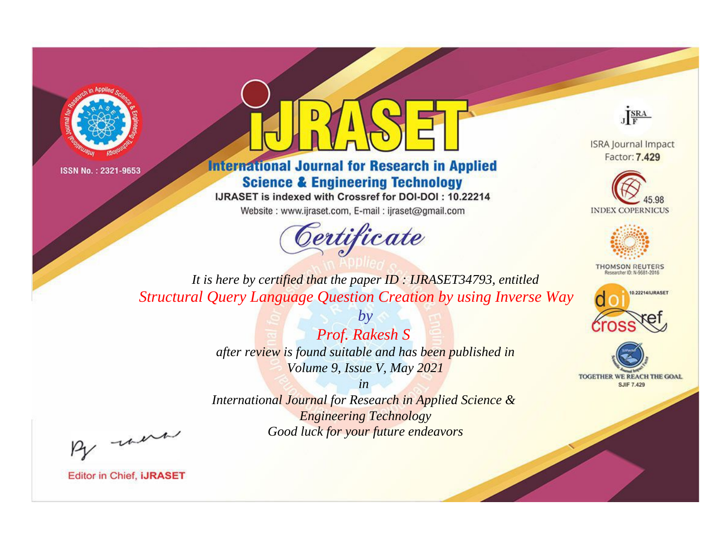



**International Journal for Research in Applied Science & Engineering Technology** 

IJRASET is indexed with Crossref for DOI-DOI: 10.22214

Website: www.ijraset.com, E-mail: ijraset@gmail.com



JERA

**ISRA Journal Impact** Factor: 7.429





**THOMSON REUTERS** 



TOGETHER WE REACH THE GOAL **SJIF 7.429** 

*It is here by certified that the paper ID : IJRASET34793, entitled Structural Query Language Question Creation by using Inverse Way*

> *by Prof. Rakesh S after review is found suitable and has been published in Volume 9, Issue V, May 2021*

> > *in*

*International Journal for Research in Applied Science & Engineering Technology Good luck for your future endeavors*

By morn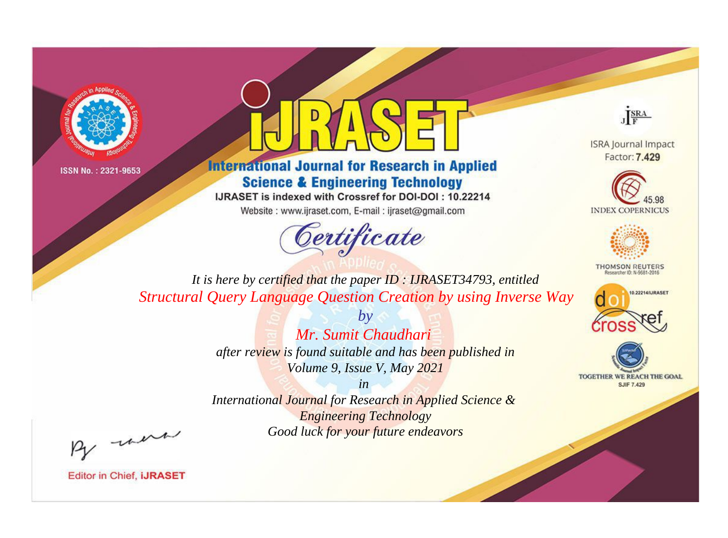



**International Journal for Research in Applied Science & Engineering Technology** 

IJRASET is indexed with Crossref for DOI-DOI: 10.22214

Website: www.ijraset.com, E-mail: ijraset@gmail.com



JERA

**ISRA Journal Impact** Factor: 7.429





**THOMSON REUTERS** 



TOGETHER WE REACH THE GOAL **SJIF 7.429** 

*It is here by certified that the paper ID : IJRASET34793, entitled Structural Query Language Question Creation by using Inverse Way*

> *by Mr. Sumit Chaudhari after review is found suitable and has been published in Volume 9, Issue V, May 2021*

> > *in*

*International Journal for Research in Applied Science & Engineering Technology Good luck for your future endeavors*

By morn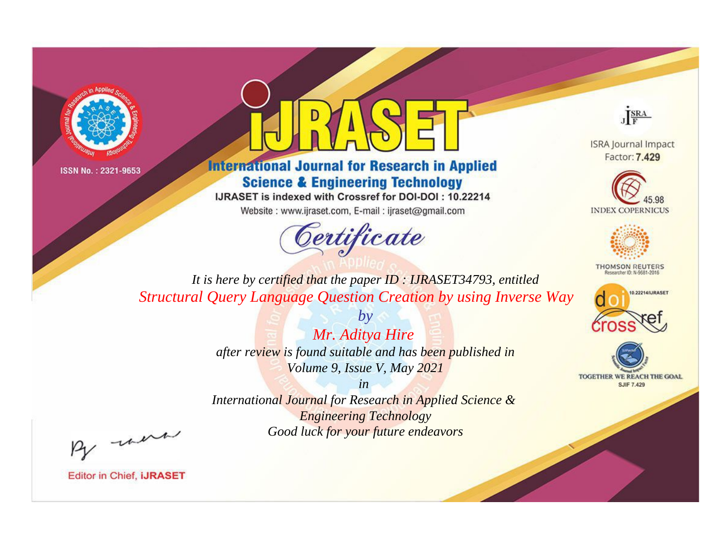



**International Journal for Research in Applied Science & Engineering Technology** 

IJRASET is indexed with Crossref for DOI-DOI: 10.22214

Website: www.ijraset.com, E-mail: ijraset@gmail.com



JERA

**ISRA Journal Impact** Factor: 7.429





**THOMSON REUTERS** 



TOGETHER WE REACH THE GOAL **SJIF 7.429** 

*It is here by certified that the paper ID : IJRASET34793, entitled Structural Query Language Question Creation by using Inverse Way*

> *Mr. Aditya Hire after review is found suitable and has been published in Volume 9, Issue V, May 2021*

*by*

*in* 

*International Journal for Research in Applied Science & Engineering Technology Good luck for your future endeavors*

By morn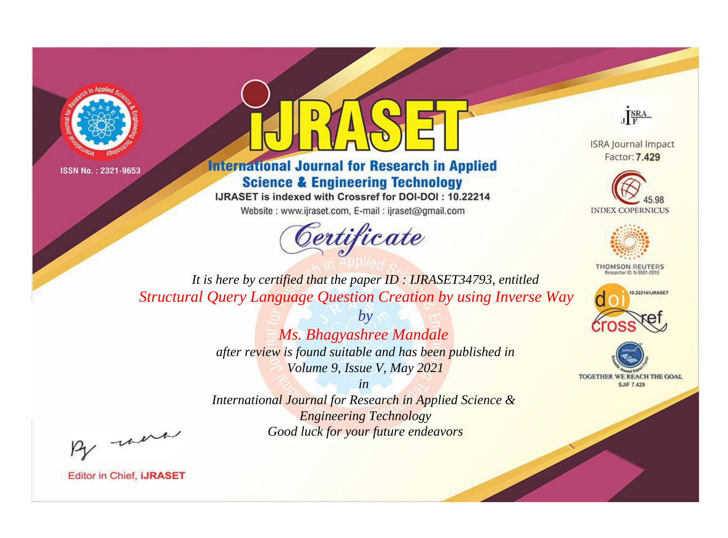



**International Journal for Research in Applied Science & Engineering Technology** 

IJRASET is indexed with Crossref for DOI-DOI: 10.22214

Website: www.ijraset.com, E-mail: ijraset@gmail.com



JERA

**ISRA Journal Impact** Factor: 7.429





**THOMSON REUTERS** 



TOGETHER WE REACH THE GOAL **SJIF 7.429** 

*It is here by certified that the paper ID : IJRASET34793, entitled Structural Query Language Question Creation by using Inverse Way*

> *by Ms. Bhagyashree Mandale after review is found suitable and has been published in Volume 9, Issue V, May 2021*

> > *in*

*International Journal for Research in Applied Science & Engineering Technology Good luck for your future endeavors*

By morn